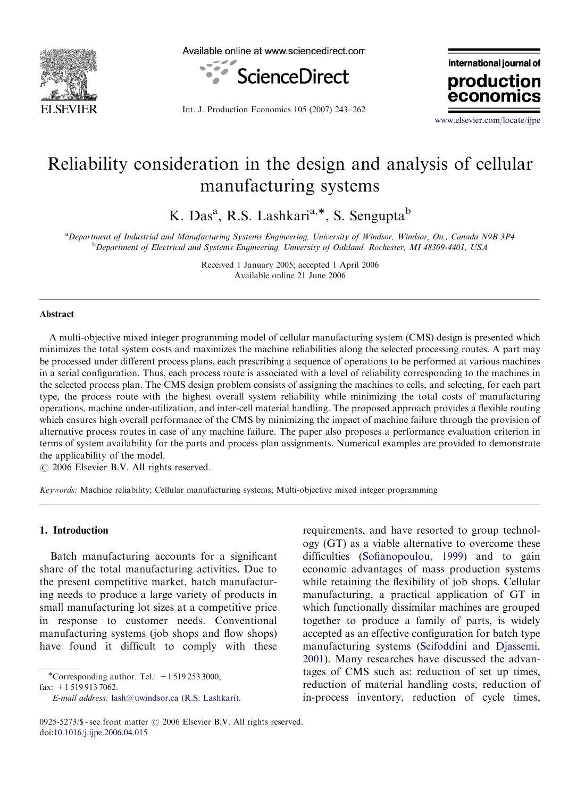



international journal of production

Int. J. Production Economics 105 (2007) 243–262

<www.elsevier.com/locate/ijpe>

econor

# Reliability consideration in the design and analysis of cellular manufacturing systems

K. Das<sup>a</sup>, R.S. Lashkari<sup>a,\*</sup>, S. Sengupta<sup>b</sup>

a Department of Industrial and Manufacturing Systems Engineering, University of Windsor, Windsor, On., Canada N9B 3P4 <sup>b</sup> Department of Electrical and Systems Engineering, University of Oakland, Rochester, MI 48309-4401, USA

> Received 1 January 2005; accepted 1 April 2006 Available online 21 June 2006

#### Abstract

A multi-objective mixed integer programming model of cellular manufacturing system (CMS) design is presented which minimizes the total system costs and maximizes the machine reliabilities along the selected processing routes. A part may be processed under different process plans, each prescribing a sequence of operations to be performed at various machines in a serial configuration. Thus, each process route is associated with a level of reliability corresponding to the machines in the selected process plan. The CMS design problem consists of assigning the machines to cells, and selecting, for each part type, the process route with the highest overall system reliability while minimizing the total costs of manufacturing operations, machine under-utilization, and inter-cell material handling. The proposed approach provides a flexible routing which ensures high overall performance of the CMS by minimizing the impact of machine failure through the provision of alternative process routes in case of any machine failure. The paper also proposes a performance evaluation criterion in terms of system availability for the parts and process plan assignments. Numerical examples are provided to demonstrate the applicability of the model.

 $\odot$  2006 Elsevier B.V. All rights reserved.

Keywords: Machine reliability; Cellular manufacturing systems; Multi-objective mixed integer programming

### 1. Introduction

Batch manufacturing accounts for a significant share of the total manufacturing activities. Due to the present competitive market, batch manufacturing needs to produce a large variety of products in small manufacturing lot sizes at a competitive price in response to customer needs. Conventional manufacturing systems (job shops and flow shops) have found it difficult to comply with these

fax: +1 519 913 7062.

E-mail address: [lash@uwindsor.ca \(R.S. Lashkari\).](mailto:lash@uwindsor.ca)

requirements, and have resorted to group technology (GT) as a viable alternative to overcome these difficulties ([Sofianopoulou, 1999](#page--1-0)) and to gain economic advantages of mass production systems while retaining the flexibility of job shops. Cellular manufacturing, a practical application of GT in which functionally dissimilar machines are grouped together to produce a family of parts, is widely accepted as an effective configuration for batch type manufacturing systems [\(Seifoddini and Djassemi,](#page--1-0) [2001\)](#page--1-0). Many researches have discussed the advantages of CMS such as: reduction of set up times, reduction of material handling costs, reduction of in-process inventory, reduction of cycle times,

<sup>\*</sup>Corresponding author. Tel.:  $+15192533000$ ;

<sup>0925-5273/\$ -</sup> see front matter  $\odot$  2006 Elsevier B.V. All rights reserved. doi:[10.1016/j.ijpe.2006.04.015](dx.doi.org/10.1016/j.ijpe.2006.04.015)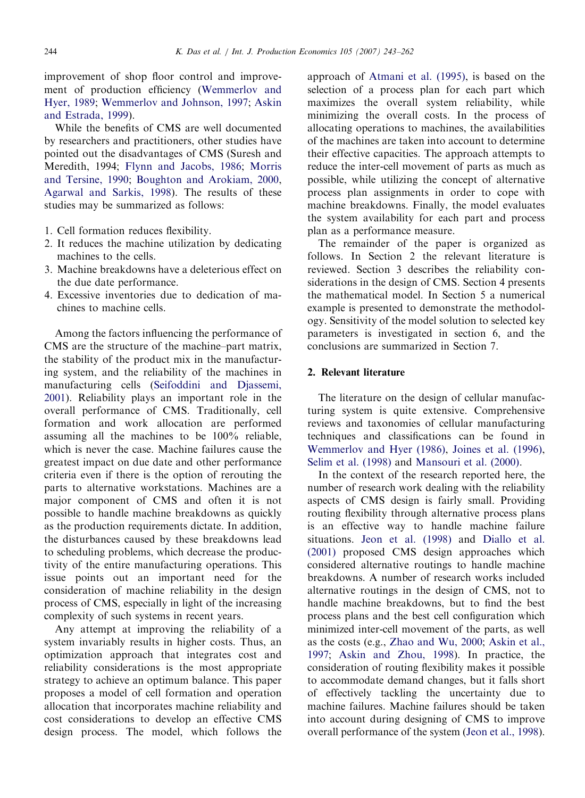improvement of shop floor control and improvement of production efficiency ([Wemmerlov and](#page--1-0) [Hyer, 1989;](#page--1-0) [Wemmerlov and Johnson, 1997](#page--1-0); [Askin](#page--1-0) [and Estrada, 1999\)](#page--1-0).

While the benefits of CMS are well documented by researchers and practitioners, other studies have pointed out the disadvantages of CMS (Suresh and Meredith, 1994; [Flynn and Jacobs, 1986;](#page--1-0) [Morris](#page--1-0) [and Tersine, 1990;](#page--1-0) [Boughton and Arokiam, 2000,](#page--1-0) [Agarwal and Sarkis, 1998\)](#page--1-0). The results of these studies may be summarized as follows:

- 1. Cell formation reduces flexibility.
- 2. It reduces the machine utilization by dedicating machines to the cells.
- 3. Machine breakdowns have a deleterious effect on the due date performance.
- 4. Excessive inventories due to dedication of machines to machine cells.

Among the factors influencing the performance of CMS are the structure of the machine–part matrix, the stability of the product mix in the manufacturing system, and the reliability of the machines in manufacturing cells (Seifoddini and Diassemi, [2001](#page--1-0)). Reliability plays an important role in the overall performance of CMS. Traditionally, cell formation and work allocation are performed assuming all the machines to be 100% reliable, which is never the case. Machine failures cause the greatest impact on due date and other performance criteria even if there is the option of rerouting the parts to alternative workstations. Machines are a major component of CMS and often it is not possible to handle machine breakdowns as quickly as the production requirements dictate. In addition, the disturbances caused by these breakdowns lead to scheduling problems, which decrease the productivity of the entire manufacturing operations. This issue points out an important need for the consideration of machine reliability in the design process of CMS, especially in light of the increasing complexity of such systems in recent years.

Any attempt at improving the reliability of a system invariably results in higher costs. Thus, an optimization approach that integrates cost and reliability considerations is the most appropriate strategy to achieve an optimum balance. This paper proposes a model of cell formation and operation allocation that incorporates machine reliability and cost considerations to develop an effective CMS design process. The model, which follows the

approach of [Atmani et al. \(1995\)](#page--1-0), is based on the selection of a process plan for each part which maximizes the overall system reliability, while minimizing the overall costs. In the process of allocating operations to machines, the availabilities of the machines are taken into account to determine their effective capacities. The approach attempts to reduce the inter-cell movement of parts as much as possible, while utilizing the concept of alternative process plan assignments in order to cope with machine breakdowns. Finally, the model evaluates the system availability for each part and process plan as a performance measure.

The remainder of the paper is organized as follows. In Section 2 the relevant literature is reviewed. Section 3 describes the reliability considerations in the design of CMS. Section 4 presents the mathematical model. In Section 5 a numerical example is presented to demonstrate the methodology. Sensitivity of the model solution to selected key parameters is investigated in section 6, and the conclusions are summarized in Section 7.

### 2. Relevant literature

The literature on the design of cellular manufacturing system is quite extensive. Comprehensive reviews and taxonomies of cellular manufacturing techniques and classifications can be found in [Wemmerlov and Hyer \(1986\),](#page--1-0) [Joines et al. \(1996\),](#page--1-0) [Selim et al. \(1998\)](#page--1-0) and [Mansouri et al. \(2000\).](#page--1-0)

In the context of the research reported here, the number of research work dealing with the reliability aspects of CMS design is fairly small. Providing routing flexibility through alternative process plans is an effective way to handle machine failure situations. [Jeon et al. \(1998\)](#page--1-0) and [Diallo et al.](#page--1-0) [\(2001\)](#page--1-0) proposed CMS design approaches which considered alternative routings to handle machine breakdowns. A number of research works included alternative routings in the design of CMS, not to handle machine breakdowns, but to find the best process plans and the best cell configuration which minimized inter-cell movement of the parts, as well as the costs (e.g., [Zhao and Wu, 2000](#page--1-0); [Askin et al.,](#page--1-0) [1997;](#page--1-0) [Askin and Zhou, 1998\)](#page--1-0). In practice, the consideration of routing flexibility makes it possible to accommodate demand changes, but it falls short of effectively tackling the uncertainty due to machine failures. Machine failures should be taken into account during designing of CMS to improve overall performance of the system [\(Jeon et al., 1998](#page--1-0)).